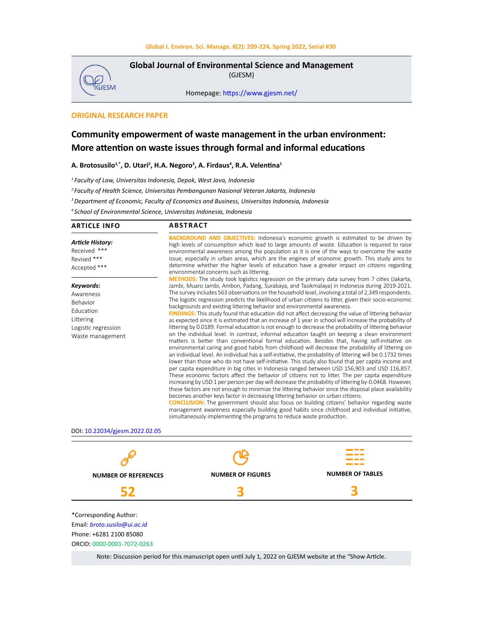

**Global Journal of Environmental Science and Management**  (GJESM)

Homepage: [https://www.gjesm.net/](https://www.gjesm.net/ )

# **ORIGINAL RESEARCH PAPER**

# **Community empowerment of waste management in the urban environment: More attention on waste issues through formal and informal educations**

A. Brotosusilo<sup>1,\*</sup>, D. Utari<sup>2</sup>, H.A. Negoro<sup>3</sup>, A. Firdaus<sup>4</sup>, R.A. Velentina<sup>1</sup>

*1 Faculty of Law, Universitas Indonesia, Depok, West Java, Indonesia*

*2 Faculty of Health Science, Universitas Pembangunan Nasional Veteran Jakarta, Indonesia*

*3 Department of Economic, Faculty of Economics and Business, Universitas Indonesia, Indonesia*

*4 School of Environmental Science, Universitas Indonesia, Indonesia*

| <b>ARTICLE INFO</b>                                                                                             | <b>ABSTRACT</b>                                                                                                                                                                                                                                                                                                                                                                                                                                                                                                                                                                                                                                                                                                                                                                                                                                                                                                                                                                                                                                                                                                                                                                                                                                                                                                                                                                                                                                                                                                                                                                                                                                                                                                                                                                                                                                                                                                                                                                                                                                                                                                                                   |                         |  |
|-----------------------------------------------------------------------------------------------------------------|---------------------------------------------------------------------------------------------------------------------------------------------------------------------------------------------------------------------------------------------------------------------------------------------------------------------------------------------------------------------------------------------------------------------------------------------------------------------------------------------------------------------------------------------------------------------------------------------------------------------------------------------------------------------------------------------------------------------------------------------------------------------------------------------------------------------------------------------------------------------------------------------------------------------------------------------------------------------------------------------------------------------------------------------------------------------------------------------------------------------------------------------------------------------------------------------------------------------------------------------------------------------------------------------------------------------------------------------------------------------------------------------------------------------------------------------------------------------------------------------------------------------------------------------------------------------------------------------------------------------------------------------------------------------------------------------------------------------------------------------------------------------------------------------------------------------------------------------------------------------------------------------------------------------------------------------------------------------------------------------------------------------------------------------------------------------------------------------------------------------------------------------------|-------------------------|--|
| Article History:<br>Received ***<br>Revised ***<br>Accepted ***                                                 | <b>BACKGROUND AND OBJECTIVES:</b> Indonesia's economic growth is estimated to be driven by<br>high levels of consumption which lead to large amounts of waste. Education is required to raise<br>environmental awareness among the population as it is one of the ways to overcome the waste<br>issue, especially in urban areas, which are the engines of economic growth. This study aims to<br>determine whether the higher levels of education have a greater impact on citizens regarding<br>environmental concerns such as littering.                                                                                                                                                                                                                                                                                                                                                                                                                                                                                                                                                                                                                                                                                                                                                                                                                                                                                                                                                                                                                                                                                                                                                                                                                                                                                                                                                                                                                                                                                                                                                                                                       |                         |  |
| Keywords:<br>Awareness<br>Behavior<br>Education<br>Littering<br>Logistic regression<br>Waste management         | METHODS: The study took logistics regression on the primary data survey from 7 cities (Jakarta,<br>Jambi, Muaro Jambi, Ambon, Padang, Surabaya, and Tasikmalaya) in Indonesia during 2019-2021.<br>The survey includes 563 observations on the household level, involving a total of 2,349 respondents.<br>The logistic regression predicts the likelihood of urban citizens to litter, given their socio-economic<br>backgrounds and existing littering behavior and environmental awareness.<br>FINDINGS: This study found that education did not affect decreasing the value of littering behavior<br>as expected since it is estimated that an increase of 1 year in school will increase the probability of<br>littering by 0.0189. Formal education is not enough to decrease the probability of littering behavior<br>on the individual level. In contrast, informal education taught on keeping a clean environment<br>matters is better than conventional formal education. Besides that, having self-initiative on<br>environmental caring and good habits from childhood will decrease the probability of littering on<br>an individual level. An individual has a self-initiative, the probability of littering will be 0.1732 times<br>lower than those who do not have self-initiative. This study also found that per capita income and<br>per capita expenditure in big cities in Indonesia ranged between USD 156,903 and USD 116,857.<br>These economic factors affect the behavior of citizens not to litter. The per capita expenditure<br>increasing by USD 1 per person per day will decrease the probability of littering by-0.0468. However,<br>these factors are not enough to minimize the littering behavior since the disposal place availability<br>becomes another keys factor in decreasing littering behavior on urban citizens.<br><b>CONCLUSION:</b> The government should also focus on building citizens' behavior regarding waste<br>management awareness especially building good habits since childhood and individual initiative,<br>simultaneously implementing the programs to reduce waste production. |                         |  |
| DOI: 10.22034/gjesm.2022.02.05                                                                                  |                                                                                                                                                                                                                                                                                                                                                                                                                                                                                                                                                                                                                                                                                                                                                                                                                                                                                                                                                                                                                                                                                                                                                                                                                                                                                                                                                                                                                                                                                                                                                                                                                                                                                                                                                                                                                                                                                                                                                                                                                                                                                                                                                   |                         |  |
|                                                                                                                 |                                                                                                                                                                                                                                                                                                                                                                                                                                                                                                                                                                                                                                                                                                                                                                                                                                                                                                                                                                                                                                                                                                                                                                                                                                                                                                                                                                                                                                                                                                                                                                                                                                                                                                                                                                                                                                                                                                                                                                                                                                                                                                                                                   |                         |  |
| <b>NUMBER OF REFERENCES</b>                                                                                     | <b>NUMBER OF FIGURES</b>                                                                                                                                                                                                                                                                                                                                                                                                                                                                                                                                                                                                                                                                                                                                                                                                                                                                                                                                                                                                                                                                                                                                                                                                                                                                                                                                                                                                                                                                                                                                                                                                                                                                                                                                                                                                                                                                                                                                                                                                                                                                                                                          | <b>NUMBER OF TABLES</b> |  |
| 52                                                                                                              |                                                                                                                                                                                                                                                                                                                                                                                                                                                                                                                                                                                                                                                                                                                                                                                                                                                                                                                                                                                                                                                                                                                                                                                                                                                                                                                                                                                                                                                                                                                                                                                                                                                                                                                                                                                                                                                                                                                                                                                                                                                                                                                                                   |                         |  |
| *Corresponding Author:<br>Email: broto.susilo@ui.ac.id<br>Phone: +6281 2100 85080<br>ORCID: 0000-0001-7072-0263 |                                                                                                                                                                                                                                                                                                                                                                                                                                                                                                                                                                                                                                                                                                                                                                                                                                                                                                                                                                                                                                                                                                                                                                                                                                                                                                                                                                                                                                                                                                                                                                                                                                                                                                                                                                                                                                                                                                                                                                                                                                                                                                                                                   |                         |  |

Note: Discussion period for this manuscript open until July 1, 2022 on GJESM website at the "Show Article.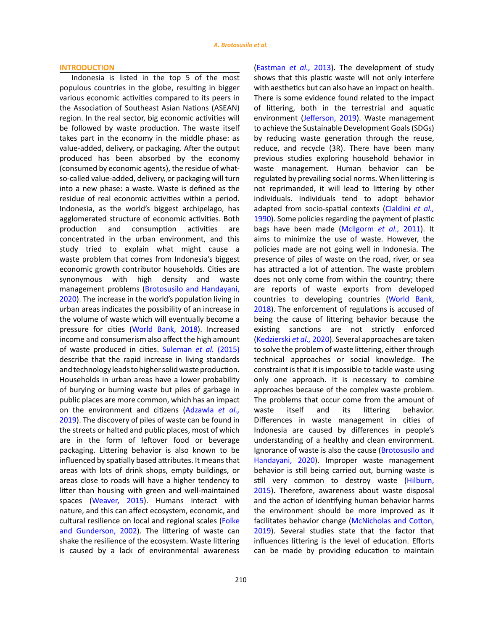### **INTRODUCTION**

Indonesia is listed in the top 5 of the most populous countries in the globe, resulting in bigger various economic activities compared to its peers in the Association of Southeast Asian Nations (ASEAN) region. In the real sector, big economic activities will be followed by waste production. The waste itself takes part in the economy in the middle phase: as value-added, delivery, or packaging. After the output produced has been absorbed by the economy (consumed by economic agents), the residue of whatso-called value-added, delivery, or packaging will turn into a new phase: a waste. Waste is defined as the residue of real economic activities within a period. Indonesia, as the world's biggest archipelago, has agglomerated structure of economic activities. Both production and consumption activities are concentrated in the urban environment, and this study tried to explain what might cause a waste problem that comes from Indonesia's biggest economic growth contributor households. Cities are synonymous with high density and waste management problems [\(Brotosusilo and Handayani,](#page-14-0)  [2020\)](#page-14-0). The increase in the world's population living in urban areas indicates the possibility of an increase in the volume of waste which will eventually become a pressure for cities [\(World Bank, 2018\).](#page-14-0) Increased income and consumerism also affect the high amount of waste produced in cities. [Suleman](#page-14-0) *et al.* (2015) describe that the rapid increase in living standards and technology leads to higher solid waste production. Households in urban areas have a lower probability of burying or burning waste but piles of garbage in public places are more common, which has an impact on the environment and citizens [\(Adzawla](#page-14-0) *et al.,* [2019](#page-14-0)). The discovery of piles of waste can be found in the streets or halted and public places, most of which are in the form of leftover food or beverage packaging. Littering behavior is also known to be influenced by spatially based attributes. It means that areas with lots of drink shops, empty buildings, or areas close to roads will have a higher tendency to litter than housing with green and well-maintained spaces ([Weaver, 2015\)](#page-14-0). Humans interact with nature, and this can affect ecosystem, economic, and cultural resilience on local and regional scales [\(Folke](#page-14-0)  [and Gunderson, 2002\).](#page-14-0) The littering of waste can shake the resilience of the ecosystem. Waste littering is caused by a lack of environmental awareness

210

[\(Eastman](#page-14-0) *et al.,* 2013). The development of study shows that this plastic waste will not only interfere with aesthetics but can also have an impact on health. There is some evidence found related to the impact of littering, both in the terrestrial and aquatic environment ([Jefferson, 2019\).](#page-14-0) Waste management to achieve the Sustainable Development Goals (SDGs) by reducing waste generation through the reuse, reduce, and recycle (3R). There have been many previous studies exploring household behavior in waste management. Human behavior can be regulated by prevailing social norms. When littering is not reprimanded, it will lead to littering by other individuals. Individuals tend to adopt behavior adapted from socio-spatial contexts ([Cialdini](#page-14-0) *et al.,* [1990](#page-14-0)). Some policies regarding the payment of plastic bags have been made [\(Mcllgorm](#page-14-0) *et al.,* 2011). It aims to minimize the use of waste. However, the policies made are not going well in Indonesia. The presence of piles of waste on the road, river, or sea has attracted a lot of attention. The waste problem does not only come from within the country; there are reports of waste exports from developed countries to developing countries ([World Bank,](#page-14-0) [2018](#page-14-0)). The enforcement of regulations is accused of being the cause of littering behavior because the existing sanctions are not strictly enforced ([Kedzierski](#page-14-0) *et al.,* 2020). Several approaches are taken to solve the problem of waste littering, either through technical approaches or social knowledge. The constraint is that it is impossible to tackle waste using only one approach. It is necessary to combine approaches because of the complex waste problem. The problems that occur come from the amount of waste itself and its littering behavior. Differences in waste management in cities of Indonesia are caused by differences in people's understanding of a healthy and clean environment. Ignorance of waste is also the cause [\(Brotosusilo and](#page-14-0) [Handayani, 2020\).](#page-14-0) Improper waste management behavior is still being carried out, burning waste is still very common to destroy waste [\(Hilburn,](#page-14-0) [2015](#page-14-0)). Therefore, awareness about waste disposal and the action of identifying human behavior harms the environment should be more improved as it facilitates behavior change [\(McNicholas and Cotton,](#page-14-0) [2019](#page-14-0)). Several studies state that the factor that influences littering is the level of education. Efforts can be made by providing education to maintain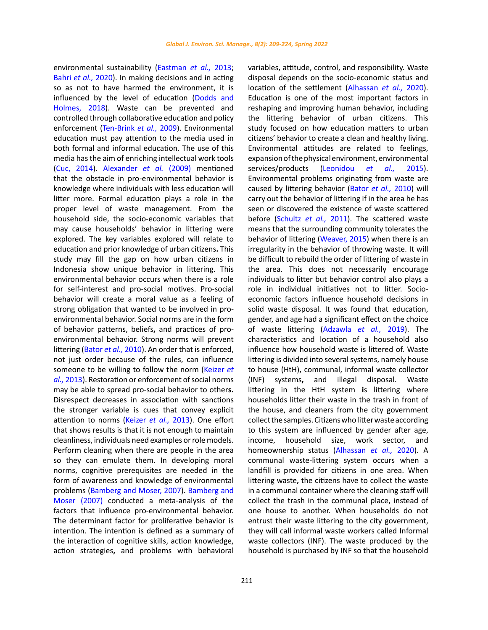environmental sustainability [\(Eastman](#page-14-0) *et al.,* 2013; [Bahri](#page-14-0) *et al.,* 2020). In making decisions and in acting so as not to have harmed the environment, it is influenced by the level of education ([Dodds and](#page-14-0)  [Holmes, 2018\)](#page-14-0). Waste can be prevented and controlled through collaborative education and policy enforcement ([Ten-Brink](#page-14-0) *et al.,* 2009). Environmental education must pay attention to the media used in both formal and informal education. The use of this media has the aim of enriching intellectual work tools ([Cuc, 2014\).](#page-14-0) Alexander *et al.* (2009) mentioned that the obstacle in pro-environmental behavior is knowledge where individuals with less education will litter more. Formal education plays a role in the proper level of waste management. From the household side, the socio-economic variables that may cause households' behavior in littering were explored. The key variables explored will relate to education and prior knowledge of urban citizens**.** This study may fill the gap on how urban citizens in Indonesia show unique behavior in littering. This environmental behavior occurs when there is a role for self-interest and pro-social motives. Pro-social behavior will create a moral value as a feeling of strong obligation that wanted to be involved in proenvironmental behavior. Social norms are in the form of behavior patterns, beliefs**,** and practices of proenvironmental behavior. Strong norms will prevent littering [\(Bator](#page-14-0) *et al.,* 2010). An order that is enforced, not just order because of the rules, can influence someone to be willing to follow the norm [\(Keizer](#page-14-0) *et al.,* [2013](#page-14-0)). Restoration or enforcement of social norms may be able to spread pro-social behavior to other**s.** Disrespect decreases in association with sanctions the stronger variable is cues that convey explicit attention to norms [\(Keizer](#page-14-0) *et al.,* 2013). One effort that shows results is that it is not enough to maintain cleanliness, individuals need examples or role models. Perform cleaning when there are people in the area so they can emulate them. In developing moral norms, cognitive prerequisites are needed in the form of awareness and knowledge of environmental problems [\(Bamberg and Moser, 2007\). Bamberg and](#page-14-0)  [Moser \(2007\)](#page-14-0) conducted a meta-analysis of the factors that influence pro-environmental behavior. The determinant factor for proliferative behavior is intention. The intention is defined as a summary of the interaction of cognitive skills, action knowledge, action strategies**,** and problems with behavioral

variables, attitude, control, and responsibility. Waste disposal depends on the socio-economic status and location of the settlement ([Alhassan](#page-14-0) *et al.,* 2020). Education is one of the most important factors in reshaping and improving human behavior, including the littering behavior of urban citizens. This study focused on how education matters to urban citizens' behavior to create a clean and healthy living. Environmental attitudes are related to feelings, expansion of the physical environment, environmental services/products [\(Leonidou](#page-14-0) *et al.,* 2015). Environmental problems originating from waste are caused by littering behavior [\(Bator](#page-14-0) *et al.,* 2010) will carry out the behavior of littering if in the area he has seen or discovered the existence of waste scattered before [\(Schultz](#page-14-0) *et al.,* 2011). The scattered waste means that the surrounding community tolerates the behavior of littering [\(Weaver, 2015\)](#page-14-0) when there is an irregularity in the behavior of throwing waste. It will be difficult to rebuild the order of littering of waste in the area. This does not necessarily encourage individuals to litter but behavior control also plays a role in individual initiatives not to litter. Socioeconomic factors influence household decisions in solid waste disposal. It was found that education, gender, and age had a significant effect on the choice of waste littering [\(Adzawla](#page-14-0) *et al.,* 2019). The characteristics and location of a household also influence how household waste is littered of. Waste littering is divided into several systems, namely house to house (HtH), communal, informal waste collector (INF) systems**,** and illegal disposal. Waste littering in the HtH system **i**s littering where households litter their waste in the trash in front of the house, and cleaners from the city government collect the samples. Citizens wholitter wasteaccording to this system are influenced by gender after age, income, household size, work sector, and homeownership status ([Alhassan](#page-14-0) *et al.,* 2020). A communal waste-littering system occurs when a landfill is provided for citizens in one area. When littering waste**,** the citizens have to collect the waste in a communal container where the cleaning staff will collect the trash in the communal place, instead of one house to another. When households do not entrust their waste littering to the city government, they will call informal waste workers called Informal waste collectors (INF). The waste produced by the household is purchased by INF so that the household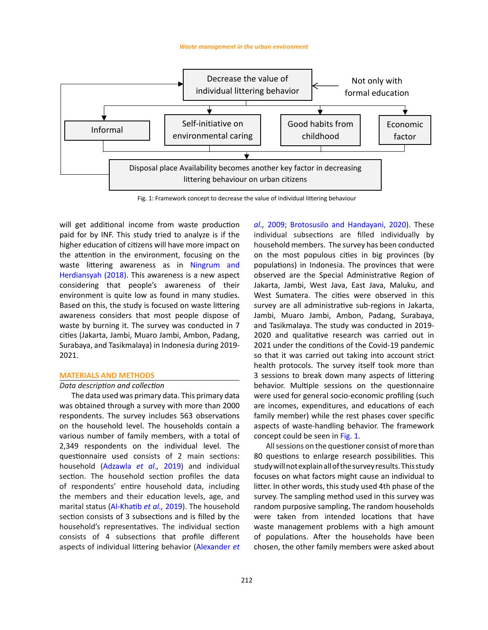

Fig. 1: Framework concept to decrease the value of individual littering behaviour

will get additional income from waste production paid for by INF. This study tried to analyze is if the higher education of citizens will have more impact on the attention in the environment, focusing on the waste littering awareness as in [Ningrum and](#page-14-0)  [Herdiansyah \(2018\).](#page-14-0) This awareness is a new aspect considering that people's awareness of their environment is quite low as found in many studies. Based on this, the study is focused on waste littering awareness considers that most people dispose of waste by burning it. The survey was conducted in 7 cities (Jakarta, Jambi, Muaro Jambi, Ambon, Padang, Surabaya, and Tasikmalaya) in Indonesia during 2019- 2021.

# **MATERIALS AND METHODS**

# *Data description and collection*

The data used was primary data. This primary data was obtained through a survey with more than 2000 respondents. The survey includes 563 observations on the household level. The households contain a various number of family members, with a total of 2,349 respondents on the individual level. The questionnaire used consists of 2 main sections: household (Adzawla *et al.,* [2019\) a](#page-14-0)nd individual section. The household section profiles the data of respondents' entire household data, including the members and their education levels, age, and marital status ([Al-Khatib](#page-14-0) *et al.,* 2019). The household section consists of 3 subsections and is filled by the household's representatives. The individual section consists of 4 subsections that profile different aspects of individual littering behavior [\(Alexander](#page-14-0) *et*  *al.,* 2009[; Brotosusilo and Handayani, 2020\).](#page-14-0) These individual subsections are filled individually by household members. The survey has been conducted on the most populous cities in big provinces (by populations) in Indonesia. The provinces that were observed are the Special Administrative Region of Jakarta, Jambi, West Java, East Java, Maluku, and West Sumatera. The cities were observed in this survey are all administrative sub-regions in Jakarta, Jambi, Muaro Jambi, Ambon, Padang, Surabaya, and Tasikmalaya. The study was conducted in 2019- 2020 and qualitative research was carried out in 2021 under the conditions of the Covid-19 pandemic so that it was carried out taking into account strict health protocols. The survey itself took more than 3 sessions to break down many aspects of littering behavior. Multiple sessions on the questionnaire were used for general socio-economic profiling (such are incomes, expenditures, and educations of each family member) while the rest phases cover specific aspects of waste-handling behavior. The framework concept could be seen in Fig. 1.

All sessions on the questioner consist of more than 80 questions to enlarge research possibilities. This study will not explain all of the survey results. This study focuses on what factors might cause an individual to litter. In other words, this study used 4th phase of the survey. The sampling method used in this survey was random purposive sampling**.** The random households were taken from intended locations that have waste management problems with a high amount of populations. After the households have been chosen, the other family members were asked about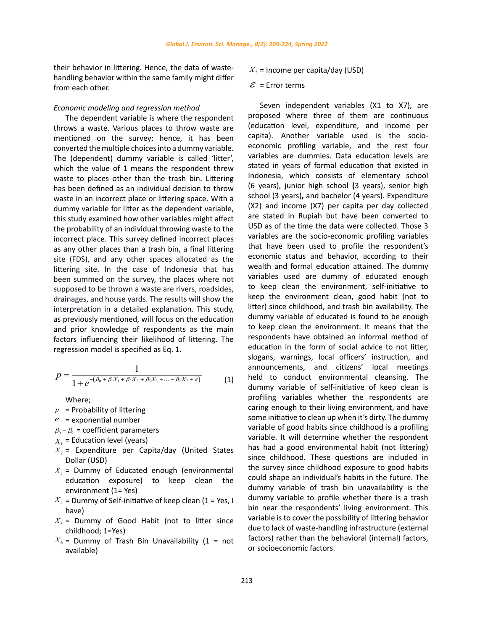their behavior in littering. Hence, the data of wastehandling behavior within the same family might differ from each other.

# *Economic modeling and regression method*

The dependent variable is where the respondent throws a waste. Various places to throw waste are mentioned on the survey; hence, it has been converted the multiple choices into a dummy variable. The (dependent) dummy variable is called 'litter', which the value of 1 means the respondent threw waste to places other than the trash bin. Littering has been defined as an individual decision to throw waste in an incorrect place or littering space. With a dummy variable for litter as the dependent variable, this study examined how other variables might affect the probability of an individual throwing waste to the incorrect place. This survey defined incorrect places as any other places than a trash bin, a final littering site (FDS), and any other spaces allocated as the littering site. In the case of Indonesia that has been summed on the survey, the places where not supposed to be thrown a waste are rivers, roadsides, drainages, and house yards. The results will show the interpretation in a detailed explanation. This study, as previously mentioned, will focus on the education and prior knowledge of respondents as the main factors influencing their likelihood of littering. The regression model is specified as Eq. 1.

$$
p = \frac{1}{1 + e^{-(\beta_0 + \beta_1 X_1 + \beta_2 X_2 + \beta_3 X_3 + \dots + \beta_7 X_7 + \varepsilon)}}
$$
(1)

Where;

- $p =$ Probability of littering
- *e* = exponential number
- $\beta_0 \beta_0$  = coefficient parameters
- $X<sub>1</sub>$  = Education level (years)
- $X_2$  = Expenditure per Capita/day (United States Dollar (USD)
- $X_3$  = Dummy of Educated enough (environmental education exposure) to keep clean the environment (1= Yes)
- $X_4$  = Dummy of Self-initiative of keep clean (1 = Yes, I have)
- $X_5$  = Dummy of Good Habit (not to litter since childhood; 1=Yes)
- $X_6$  = Dummy of Trash Bin Unavailability (1 = not available)
- $X_7$  = Income per capita/day (USD)
- $\mathcal{E}$  = Error terms

 $\frac{1}{(\beta_0+\beta_1X_1+\beta_2X_2+\beta_3X_3+...+\beta_7X_7+\varepsilon)}$  announcements, and citizens' local meetings<br>
(1) held to conduct environmental cleansing. The Seven independent variables (X1 to X7), are proposed where three of them are continuous (education level, expenditure, and income per capita). Another variable used is the socioeconomic profiling variable, and the rest four variables are dummies. Data education levels are stated in years of formal education that existed in Indonesia, which consists of elementary school (6 years), junior high school **(**3 years), senior high school (3 years)**,** and bachelor (4 years). Expenditure (X2) and income (X7) per capita per day collected are stated in Rupiah but have been converted to USD as of the time the data were collected. Those 3 variables are the socio-economic profiling variables that have been used to profile the respondent's economic status and behavior, according to their wealth and formal education attained. The dummy variables used are dummy of educated enough to keep clean the environment, self-initiative to keep the environment clean, good habit (not to litter) since childhood, and trash bin availability. The dummy variable of educated is found to be enough to keep clean the environment. It means that the respondents have obtained an informal method of education in the form of social advice to not litter, slogans, warnings, local officers' instruction, and announcements, and citizens' local meetings dummy variable of self-initiative of keep clean is profiling variables whether the respondents are caring enough to their living environment, and have some initiative to clean up when it's dirty. The dummy variable of good habits since childhood is a profiling variable. It will determine whether the respondent has had a good environmental habit (not littering) since childhood. These questions are included in the survey since childhood exposure to good habits could shape an individual's habits in the future. The dummy variable of trash bin unavailability is the dummy variable to profile whether there is a trash bin near the respondents' living environment. This variable is to cover the possibility of littering behavior due to lack of waste-handling infrastructure (external factors) rather than the behavioral (internal) factors, or socioeconomic factors.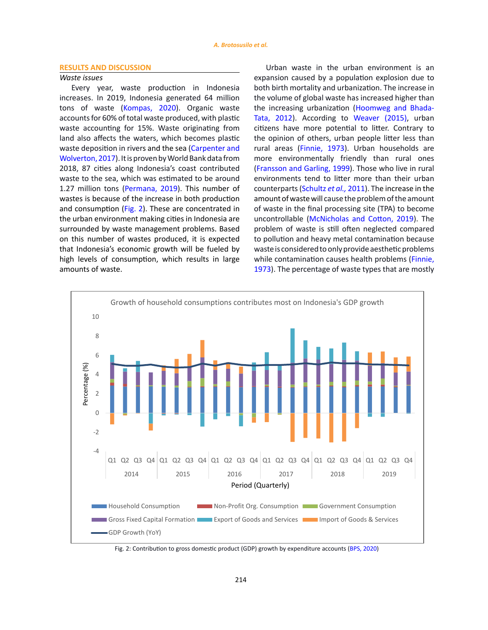### **RESULTS AND DISCUSSION**

# *Waste issues*

Every year, waste production in Indonesia increases. In 2019, Indonesia generated 64 million tons of waste [\(Kompas, 2020\).](#page-14-0) Organic waste accounts for 60% of total waste produced, with plastic waste accounting for 15%. Waste originating from land also affects the waters, which becomes plastic waste deposition in rivers and the sea (Carpenter and [Wolverton, 2017\).](#page-14-0) It is proven by World Bank data from 2018, 87 cities along Indonesia's coast contributed waste to the sea, which was estimated to be around 1.27 million tons [\(Permana, 2019\).](#page-14-0) This number of wastes is because of the increase in both production and consumption (Fig. 2). These are concentrated in the urban environment making cities in Indonesia are surrounded by waste management problems. Based on this number of wastes produced, it is expected that Indonesia's economic growth will be fueled by high levels of consumption, which results in large amounts of waste.

Urban waste in the urban environment is an expansion caused by a population explosion due to both birth mortality and urbanization. The increase in the volume of global waste has increased higher than the increasing urbanization [\(Hoomweg and Bhada-](#page-14-0)[Tata, 2012\).](#page-14-0) According to [Weaver](#page-14-0) (2015), urban citizens have more potential to litter. Contrary to the opinion of others, urban people litter less than rural areas ([Finnie, 1973\)](#page-14-0). Urban households are more environmentally friendly than rural ones ([Fransson and Garling, 1999\).](#page-14-0) Those who live in rural environments tend to litter more than their urban counterparts ([Schultz](#page-14-0) *et al.,* 2011). The increase in the amount of wastewill cause the problem of the amount of waste in the final processing site (TPA) to become uncontrollable [\(McNicholas and Cotton, 2019\).](#page-14-0) The problem of waste is still often neglected compared to pollution and heavy metal contamination because waste is considered to only provide aesthetic problems while contamination causes health problems [\(Finnie,](#page-14-0) [1973](#page-14-0)). The percentage of waste types that are mostly



Fig. 2: Contribution to gross domestic product (GDP) growth by expenditure accounts (BPS, 2020)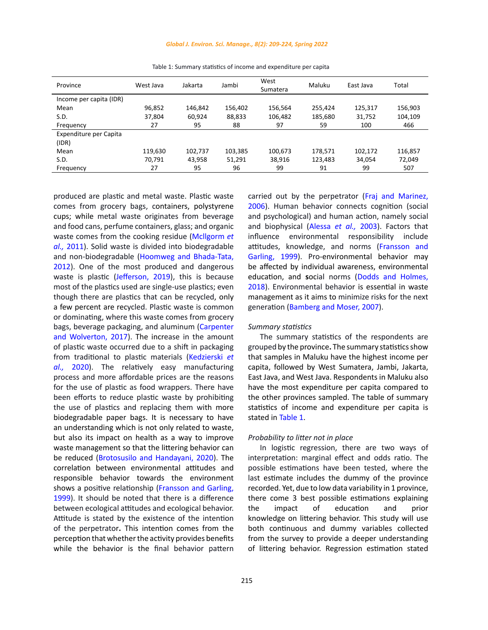### *Global J. Environ. Sci. Manage., 8(2): 209-224, Spring 2022*

| Province                | West Java | Jakarta | Jambi   | West<br>Sumatera | Maluku  | East Java | Total   |
|-------------------------|-----------|---------|---------|------------------|---------|-----------|---------|
| Income per capita (IDR) |           |         |         |                  |         |           |         |
| Mean                    | 96,852    | 146,842 | 156,402 | 156.564          | 255.424 | 125,317   | 156,903 |
| S.D.                    | 37,804    | 60,924  | 88,833  | 106,482          | 185,680 | 31,752    | 104,109 |
| Frequency               | 27        | 95      | 88      | 97               | 59      | 100       | 466     |
| Expenditure per Capita  |           |         |         |                  |         |           |         |
| (IDR)                   |           |         |         |                  |         |           |         |
| Mean                    | 119,630   | 102,737 | 103,385 | 100,673          | 178,571 | 102,172   | 116,857 |
| S.D.                    | 70,791    | 43,958  | 51,291  | 38,916           | 123,483 | 34,054    | 72,049  |
| Frequency               | 27        | 95      | 96      | 99               | 91      | 99        | 507     |

<span id="page-6-0"></span>Table 1: Summary statistics of income and expenditure per capita Table 1: Summary statistics of income and expenditure per capita

produced are plastic and metal waste. Plastic waste comes from grocery bags, containers, polystyrene cups; while metal waste originates from beverage and food cans, perfume containers, glass; and organic waste comes from the cooking residue ([Mcllgorm](#page-14-0) *et al.,* [2011](#page-14-0)). Solid waste is divided into biodegradable and non-biodegradable [\(Hoomweg and Bhada-Tata,](#page-14-0)  [2012](#page-14-0)). One of the most produced and dangerous waste is plastic [\(Jefferson, 2019\),](#page-14-0) this is because most of the plastics used are single-use plastics; even though there are plastics that can be recycled, only a few percent are recycled. Plastic waste is common or dominating, where this waste comes from grocery bags, beverage packaging, and aluminum ([Carpenter](#page-14-0)  [and Wolverton, 2017\)](#page-14-0). The increase in the amount of plastic waste occurred due to a shift in packaging from traditional to plastic materials [\(Kedzierski](#page-14-0) *et al.,* [2020](#page-14-0)). The relatively easy manufacturing process and more affordable prices are the reasons for the use of plastic as food wrappers. There have been efforts to reduce plastic waste by prohibiting the use of plastics and replacing them with more biodegradable paper bags. It is necessary to have an understanding which is not only related to waste, but also its impact on health as a way to improve waste management so that the littering behavior can be reduced ([Brotosusilo and Handayani, 2020\).](#page-14-0) The correlation between environmental attitudes and responsible behavior towards the environment shows a positive relationship [\(Fransson and Garling,](#page-14-0)  [1999](#page-14-0)). It should be noted that there is a difference between ecological attitudes and ecological behavior. Attitude is stated by the existence of the intention of the perpetrator**.** This intention comes from the perception that whether the activity provides benefits while the behavior is the final behavior pattern

carried out by the perpetrator [\(Fraj and Marinez,](#page-14-0) [2006](#page-14-0)). Human behavior connects cognition (social and psychological) and human action, namely social and biophysical ([Alessa](#page-14-0) *et al.,* 2003). Factors that influence environmental responsibility include attitudes, knowledge, and norms ([Fransson and](#page-14-0) [Garling, 1999\).](#page-14-0) Pro-environmental behavior may be affected by individual awareness, environmental education, and **s**ocial norms ([Dodds and Holmes,](#page-14-0) [2018](#page-14-0)). Environmental behavior is essential in waste management as it aims to minimize risks for the next generation [\(Bamberg and Moser, 2007\).](#page-14-0)

### *Summary statistics*

The summary statistics of the respondents are grouped by the province**.** The summary statistics show that samples in Maluku have the highest income per capita, followed by West Sumatera, Jambi, Jakarta, East Java, and West Java. Respondents in Maluku also have the most expenditure per capita compared to the other provinces sampled. The table of summary statistics of income and expenditure per capita is stated in Table 1.

# *Probability to litter not in place*

In logistic regression, there are two ways of interpretation: marginal effect and odds ratio. The possible estimations have been tested, where the last estimate includes the dummy of the province recorded. Yet, due to low data variability in 1 province, there come 3 best possible estimations explaining the impact of education and prior knowledge on littering behavior. This study will use both continuous and dummy variables collected from the survey to provide a deeper understanding of littering behavior. Regression estimation stated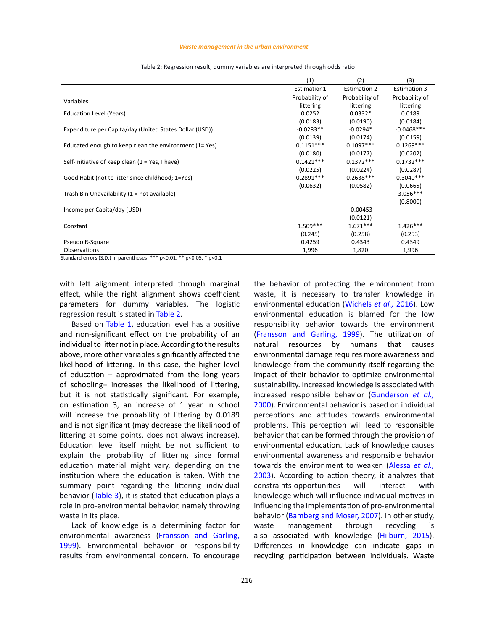#### *Waste management in the urban environment*

<span id="page-7-0"></span>

|                                                         | (1)            | (2)                 | (3)                 |
|---------------------------------------------------------|----------------|---------------------|---------------------|
|                                                         | Estimation1    | <b>Estimation 2</b> | <b>Estimation 3</b> |
| Variables                                               | Probability of | Probability of      | Probability of      |
|                                                         | littering      | littering           | littering           |
| Education Level (Years)                                 | 0.0252         | $0.0332*$           | 0.0189              |
|                                                         | (0.0183)       | (0.0190)            | (0.0184)            |
| Expenditure per Capita/day (United States Dollar (USD)) | $-0.0283**$    | $-0.0294*$          | $-0.0468***$        |
|                                                         | (0.0139)       | (0.0174)            | (0.0159)            |
| Educated enough to keep clean the environment (1= Yes)  | $0.1151***$    | $0.1097***$         | $0.1269***$         |
|                                                         | (0.0180)       | (0.0177)            | (0.0202)            |
| Self-initiative of keep clean $(1 = Yes, I have)$       | $0.1421***$    | $0.1372***$         | $0.1732***$         |
|                                                         | (0.0225)       | (0.0224)            | (0.0287)            |
| Good Habit (not to litter since childhood; 1=Yes)       | $0.2891***$    | $0.2638***$         | $0.3040***$         |
|                                                         | (0.0632)       | (0.0582)            | (0.0665)            |
| Trash Bin Unavailability (1 = not available)            |                |                     | $3.056***$          |
|                                                         |                |                     | (0.8000)            |
| Income per Capita/day (USD)                             |                | $-0.00453$          |                     |
|                                                         |                | (0.0121)            |                     |
| Constant                                                | $1.509***$     | $1.671***$          | $1.426***$          |
|                                                         | (0.245)        | (0.258)             | (0.253)             |
| Pseudo R-Square                                         | 0.4259         | 0.4343              | 0.4349              |
| Observations                                            | 1,996          | 1,820               | 1,996               |

Table 2: Regression result, dummy variables are interpreted through odds ratio Table 2: Regression result, dummy variables are interpreted through odds ratio

Standard errors (S.D.) in parentheses; \*\*\* p<0.01, \*\* p<0.05, \* p<0.1

with left alignment interpreted through marginal effect, while the right alignment shows coefficient parameters for dummy variables. The logistic regression result is stated in Table 2.

Based on [Table 1](#page-6-0), education level has a positive and non-significant effect on the probability of an individual to litter not in place. According to the results above, more other variables significantly affected the likelihood of littering. In this case, the higher level of education – approximated from the long years of schooling– increases the likelihood of littering, but it is not statistically significant. For example, on estimation 3, an increase of 1 year in school will increase the probability of littering by 0.0189 and is not significant (may decrease the likelihood of littering at some points, does not always increase). Education level itself might be not sufficient to explain the probability of littering since formal education material might vary, depending on the institution where the education is taken. With the summary point regarding the littering individual behavior [\(Table 3\),](#page-8-0) it is stated that education plays a role in pro-environmental behavior, namely throwing waste in its place.

Lack of knowledge is a determining factor for environmental awareness [\(Fransson and Garling,](#page-14-0)  [1999](#page-14-0)). Environmental behavior or responsibility results from environmental concern. To encourage the behavior of protecting the environment from waste, it is necessary to transfer knowledge in environmental education [\(Wichels](#page-14-0) *et al.,* 2016). Low environmental education is blamed for the low responsibility behavior towards the environment ([Fransson and Garling, 1999\).](#page-14-0) The utilization of natural resources by humans that causes environmental damage requires more awareness and knowledge from the community itself regarding the impact of their behavior to optimize environmental sustainability. Increased knowledge is associated with increased responsible behavior ([Gunderson](#page-14-0) *et al.,* [2000](#page-14-0)). Environmental behavior is based on individual perceptions and attitudes towards environmental problems. This perception will lead to responsible behavior that can be formed through the provision of environmental education. Lack of knowledge causes environmental awareness and responsible behavior towards the environment to weaken ([Alessa](#page-14-0) *et al.,* [2003](#page-14-0)). According to action theory, it analyzes that constraints-opportunities will interact with knowledge which will influence individual motives in influencing the implementation of pro-environmental behavior [\(Bamberg and Moser, 2007\).](#page-14-0) In other study, waste management through recycling is also associated with knowledge [\(Hilburn, 2015\)](#page-14-0). Differences in knowledge can indicate gaps in recycling participation between individuals. Waste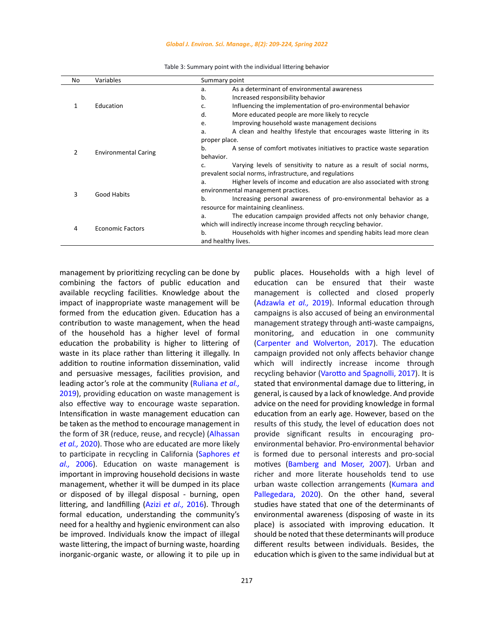#### *Global J. Environ. Sci. Manage., 8(2): 209-224, Spring 2022*

<span id="page-8-0"></span>

| No               | Variables                   | Summary point                                                               |  |  |
|------------------|-----------------------------|-----------------------------------------------------------------------------|--|--|
|                  |                             | As a determinant of environmental awareness<br>a.                           |  |  |
| 1                | Education                   | b.<br>Increased responsibility behavior                                     |  |  |
|                  |                             | Influencing the implementation of pro-environmental behavior<br>c.          |  |  |
|                  |                             | d.<br>More educated people are more likely to recycle                       |  |  |
|                  |                             | Improving household waste management decisions<br>e.                        |  |  |
|                  |                             | A clean and healthy lifestyle that encourages waste littering in its<br>a.  |  |  |
|                  |                             | proper place.                                                               |  |  |
| 2                | <b>Environmental Caring</b> | A sense of comfort motivates initiatives to practice waste separation<br>b. |  |  |
|                  |                             | behavior.                                                                   |  |  |
|                  |                             | Varying levels of sensitivity to nature as a result of social norms,<br>C.  |  |  |
|                  |                             | prevalent social norms, infrastructure, and regulations                     |  |  |
|                  |                             | Higher levels of income and education are also associated with strong<br>a. |  |  |
| 3<br>Good Habits |                             | environmental management practices.                                         |  |  |
|                  |                             | b.<br>Increasing personal awareness of pro-environmental behavior as a      |  |  |
|                  |                             | resource for maintaining cleanliness.                                       |  |  |
| 4                | <b>Economic Factors</b>     | The education campaign provided affects not only behavior change,<br>a.     |  |  |
|                  |                             | which will indirectly increase income through recycling behavior.           |  |  |
|                  |                             | $b$ .<br>Households with higher incomes and spending habits lead more clean |  |  |
|                  |                             | and healthy lives.                                                          |  |  |

Table 3: Summary point with the individual littering behavior Table 3: Summary point with the individual littering behavior

management by prioritizing recycling can be done by combining the factors of public education and available recycling facilities. Knowledge about the impact of inappropriate waste management will be formed from the education given. Education has a contribution to waste management, when the head of the household has a higher level of formal education the probability is higher to littering of waste in its place rather than littering it illegally. In addition to routine information dissemination, valid and persuasive messages, facilities provision, and leading actor's role at the community [\(Ruliana](#page-14-0) *et al.,* [2019](#page-14-0)), providing education on waste management is also effective way to encourage waste separation. Intensification in waste management education can be taken as the method to encourage management in the form of 3R (reduce, reuse, and recycle) ([Alhassan](#page-14-0)  *[et al.,](#page-14-0)* 2020). Those who are educated are more likely to participate in recycling in California ([Saphores](#page-14-0) *et al.,* [2006](#page-14-0)). Education on waste management is important in improving household decisions in waste management, whether it will be dumped in its place or disposed of by illegal disposal - burning, open littering, and landfilling (Azizi *[et al.,](#page-14-0)* 2016). Through formal education, understanding the community's need for a healthy and hygienic environment can also be improved. Individuals know the impact of illegal waste littering, the impact of burning waste, hoarding inorganic-organic waste, or allowing it to pile up in

management is collected and closed properly ([Adzawla](#page-14-0) *et al.,* 2019). Informal education through campaigns is also accused of being an environmental management strategy through anti-waste campaigns, monitoring, and education in one community ([Carpenter and Wolverton, 2017\).](#page-14-0) The education campaign provided not only affects behavior change which will indirectly increase income through recycling behavior [\(Varotto and Spagnolli, 2017\).](#page-14-0) It is stated that environmental damage due to littering, in general, is caused by a lack of knowledge. And provide advice on the need for providing knowledge in formal education from an early age. However, based on the results of this study, the level of education does not provide significant results in encouraging proenvironmental behavior. Pro-environmental behavior is formed due to personal interests and pro-social motives [\(Bamberg and Moser, 2007\).](#page-14-0) Urban and richer and more literate households tend to use urban waste collection arrangements ([Kumara and](#page-14-0) [Pallegedara, 2020\).](#page-14-0) On the other hand, several studies have stated that one of the determinants of environmental awareness (disposing of waste in its place) is associated with improving education. It should be noted that these determinants will produce different results between individuals. Besides, the education which is given to the same individual but at

public places. Households with a high level of education can be ensured that their waste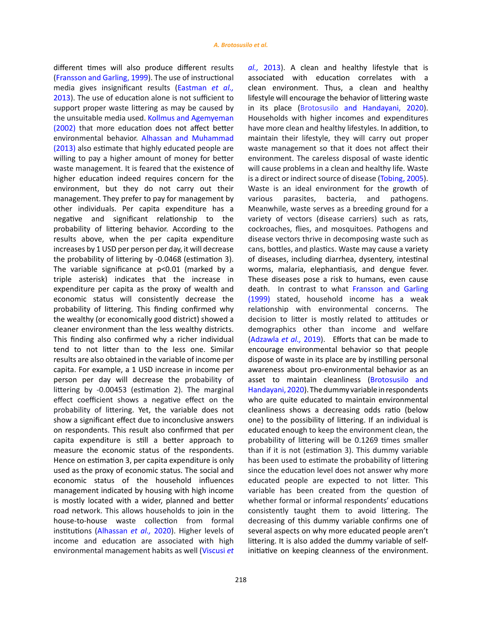different times will also produce different results ([Fransson and Garling, 1999\).](#page-14-0) The use of instructional media gives insignificant results ([Eastman](#page-14-0) *et al.,* [2013](#page-14-0)). The use of education alone is not sufficient to support proper waste littering as may be caused by the unsuitable media used. [Kollmus and Agemyeman](#page-14-0)  [\(2002\)](#page-14-0) that more education does not affect better environmental behavior. [Alhassan and Muhammad](#page-14-0)  [\(2013\)](#page-14-0) also estimate that highly educated people are willing to pay a higher amount of money for better waste management. It is feared that the existence of higher education indeed requires concern for the environment, but they do not carry out their management. They prefer to pay for management by other individuals. Per capita expenditure has a negative and significant relationship to the probability of littering behavior. According to the results above, when the per capita expenditure increases by 1 USD per person per day, it will decrease the probability of littering by -0.0468 (estimation 3). The variable significance at p<0.01 (marked by a triple asterisk) indicates that the increase in expenditure per capita as the proxy of wealth and economic status will consistently decrease the probability of littering. This finding confirmed why the wealthy (or economically good district) showed a cleaner environment than the less wealthy districts. This finding also confirmed why a richer individual tend to not litter than to the less one. Similar results are also obtained in the variable of income per capita. For example, a 1 USD increase in income per person per day will decrease the probability of littering by -0.00453 (estimation 2). The marginal effect coefficient shows a negative effect on the probability of littering. Yet, the variable does not show a significant effect due to inconclusive answers on respondents. This result also confirmed that per capita expenditure is still a better approach to measure the economic status of the respondents. Hence on estimation 3, per capita expenditure is only used as the proxy of economic status. The social and economic status of the household influences management indicated by housing with high income is mostly located with a wider, planned and better road network. This allows households to join in the house-to-house waste collection from formal institutions ([Alhassan](#page-14-0) *et al.,* 2020). Higher levels of income and education are associated with high environmental management habits as well [\(Viscusi](#page-14-0) *et*  *al.,* [2013](#page-14-0)). A clean and healthy lifestyle that is associated with education correlates with a clean environment. Thus, a clean and healthy lifestyle will encourage the behavior of littering waste in its place ([Brotosusilo and Handayani, 2020\).](#page-14-0) Households with higher incomes and expenditures have more clean and healthy lifestyles. In addition, to maintain their lifestyle, they will carry out proper waste management so that it does not affect their environment. The careless disposal of waste identic will cause problems in a clean and healthy life. Waste is a direct or indirect source of disease ([Tobing, 2005\).](#page-14-0) Waste is an ideal environment for the growth of various parasites, bacteria, and pathogens. Meanwhile, waste serves as a breeding ground for a variety of vectors (disease carriers) such as rats, cockroaches, flies, and mosquitoes. Pathogens and disease vectors thrive in decomposing waste such as cans, bottles, and plastics. Waste may cause a variety of diseases, including diarrhea, dysentery, intestinal worms, malaria, elephantiasis, and dengue fever. These diseases pose a risk to humans, even cause death. In contrast to what [Fransson and Garling](#page-14-0) [\(1999\)](#page-14-0) stated, household income has a weak relationship with environmental concerns. The decision to litter is mostly related to attitudes or demographics other than income and welfare ([Adzawla](#page-14-0) *et al.,* 2019). Efforts that can be made to encourage environmental behavior so that people dispose of waste in its place are by instilling personal awareness about pro-environmental behavior as an asset to maintain cleanliness ([Brotosusilo and](#page-14-0) [Handayani, 2020\)](#page-14-0). The dummy variable in respondents who are quite educated to maintain environmental cleanliness shows a decreasing odds ratio (below one) to the possibility of littering. If an individual is educated enough to keep the environment clean, the probability of littering will be 0.1269 times smaller than if it is not (estimation 3). This dummy variable has been used to estimate the probability of littering since the education level does not answer why more educated people are expected to not litter. This variable has been created from the question of whether formal or informal respondents' educations consistently taught them to avoid littering. The decreasing of this dummy variable confirms one of several aspects on why more educated people aren't littering. It is also added the dummy variable of selfinitiative on keeping cleanness of the environment.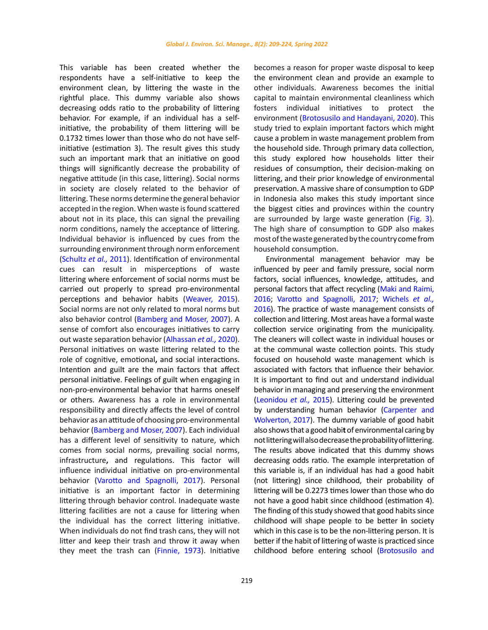This variable has been created whether the respondents have a self-initiative to keep the environment clean, by littering the waste in the rightful place. This dummy variable also shows decreasing odds ratio to the probability of littering behavior. For example, if an individual has a selfinitiative, the probability of them littering will be 0.1732 times lower than those who do not have selfinitiative (estimation 3). The result gives this study such an important mark that an initiative on good things will significantly decrease the probability of negative attitude (in this case, littering). Social norms in society are closely related to the behavior of littering. These norms determine the general behavior accepted in the region. When waste is found scattered about not in its place, this can signal the prevailing norm conditions, namely the acceptance of littering. Individual behavior is influenced by cues from the surrounding environment through norm enforcement ([Schultz](#page-14-0) *et al.,* 2011). Identification of environmental cues can result in misperceptions of waste littering where enforcement of social norms must be carried out properly to spread pro-environmental perceptions and behavior habits ([Weaver, 2015\).](#page-14-0)  Social norms are not only related to moral norms but also behavior control [\(Bamberg and Moser, 2007\)](#page-14-0). A sense of comfort also encourages initiatives to carry out waste separation behavior ([Alhassan](#page-14-0) *et al.,* 2020). Personal initiatives on waste littering related to the role of cognitive, emotional**,** and social interactions. Intention and guilt are the main factors that affect personal initiative. Feelings of guilt when engaging in non-pro-environmental behavior that harms oneself or others. Awareness has a role in environmental responsibility and directly affects the level of control behavior as an attitude of choosing pro-environmental behavior [\(Bamberg and Moser, 2007\).](#page-14-0) Each individual has a different level of sensitivity to nature, which comes from social norms, prevailing social norms, infrastructure**,** and regulations. This factor will influence individual initiative on pro-environmental behavior [\(Varotto and Spagnolli, 2017\).](#page-14-0) Personal initiative is an important factor in determining littering through behavior control. Inadequate waste littering facilities are not a cause for littering when the individual has the correct littering initiative. When individuals do not find trash cans, they will not litter and keep their trash and throw it away when they meet the trash can [\(Finnie, 1973\).](#page-14-0) Initiative

becomes a reason for proper waste disposal to keep the environment clean and provide an example to other individuals. Awareness becomes the initial capital to maintain environmental cleanliness which fosters individual initiatives to protect the environment ([Brotosusilo and Handayani, 2020\)](#page-14-0). This study tried to explain important factors which might cause a problem in waste management problem from the household side. Through primary data collection, this study explored how households litter their residues of consumption, their decision-making on littering, and their prior knowledge of environmental preservation. A massive share of consumption to GDP in Indonesia also makes this study important since the biggest cities and provinces within the country are surrounded by large waste generation [\(Fig. 3\)](#page-7-0). The high share of consumption to GDP also makes most of the waste generated by the country comefrom household consumption.

Environmental management behavior may be influenced by peer and family pressure, social norm factors, social influences, knowledge, attitudes, and personal factors that affect recycling ([Maki and Raimi,](#page-14-0) 2016[; Varotto and Spagnolli, 2017; Wichels](#page-14-0) *et al.,* [2016](#page-14-0)). The practice of waste management consists of collection and littering. Most areas have a formal waste collection service originating from the municipality. The cleaners will collect waste in individual houses or at the communal waste collection points. This study focused on household waste management which is associated with factors that influence their behavior. It is important to find out and understand individual behavior in managing and preserving the environment ([Leonidou](#page-14-0) *et al.,* 2015). Littering could be prevented by understanding human behavior ([Carpenter and](#page-14-0) [Wolverton, 2017\).](#page-14-0) The dummy variable of good habit also shows that a good habi**t** of environmental caring by not littering will also decrease the probability of littering. The results above indicated that this dummy shows decreasing odds ratio. The example interpretation of this variable is, if an individual has had a good habit (not littering) since childhood, their probability of littering will be 0.2273 times lower than those who do not have a good habit since childhood (estimation 4). The finding of this study showed that good habits since childhood will shape people to be better **i**n society which in this case is to be the non-littering person. It is better if the habit of littering of waste is practiced since childhood before entering school [\(Brotosusilo and](#page-14-0)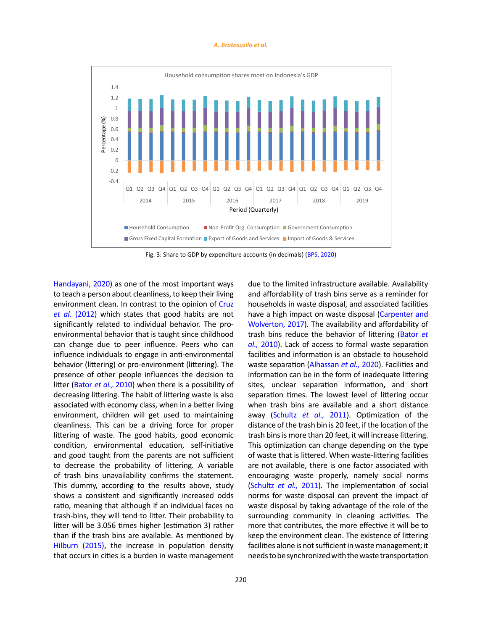#### *A. Brotosusilo et al.*



Fig. 3: Share to GDP by expenditure accounts (in decimals) (BPS, 2020)

[Handayani, 2020\)](#page-14-0) as one of the most important ways to teach a person about cleanliness, to keep their living environment clean. In contrast to the opinion of [Cruz](#page-14-0)  *et al.* [\(2012\)](#page-14-0) which states that good habits are not significantly related to individual behavior. The proenvironmental behavior that is taught since childhood can change due to peer influence. Peers who can influence individuals to engage in anti-environmental behavior (littering) or pro-environment (littering). The presence of other people influences the decision to litter [\(Bator](#page-14-0) *et al.,* 2010) when there is a possibility of decreasing littering. The habit of littering waste is also associated with economy class, when in a better living environment, children will get used to maintaining cleanliness. This can be a driving force for proper littering of waste. The good habits, good economic condition, environmental education, self-initiative and good taught from the parents are not sufficient to decrease the probability of littering. A variable of trash bins unavailability confirms the statement. This dummy, according to the results above, study shows a consistent and significantly increased odds ratio, meaning that although if an individual faces no trash-bins, they will tend to litter. Their probability to litter will be 3.056 times higher (estimation 3) rather than if the trash bins are available. As mentioned by [Hilburn \(2015\)](#page-14-0), the increase in population density that occurs in cities is a burden in waste management due to the limited infrastructure available. Availability and affordability of trash bins serve as a reminder for households in waste disposal, and associated facilities have a high impact on waste disposal ([Carpenter and](#page-14-0) [Wolverton, 2017\).](#page-14-0) The availability and affordability of trash bins reduce the behavior of littering [\(Bator](#page-14-0) *et al.,* [2010](#page-14-0)). Lack of access to formal waste separation facilities and information is an obstacle to household waste separation ([Alhassan](#page-14-0) *et al.,* 2020). Facilities and information can be in the form of inadequate littering sites, unclear separation information**,** and short separation times. The lowest level of littering occur when trash bins are available and a short distance away [\(Schultz](#page-14-0) *et al.,* 2011). Optimization of the distance of the trash bin is 20 feet, if the location of the trash bins is more than 20 feet, it will increase littering. This optimization can change depending on the type of waste that is littered. When waste-littering facilities are not available, there is one factor associated with encouraging waste properly, namely social norms ([Schultz](#page-14-0) *et al.,* 2011). The implementation of social norms for waste disposal can prevent the impact of waste disposal by taking advantage of the role of the surrounding community in cleaning activities. The more that contributes, the more effective it will be to keep the environment clean. The existence of littering facilities alone is not sufficient in waste management; it needs to be synchronized with the waste transportation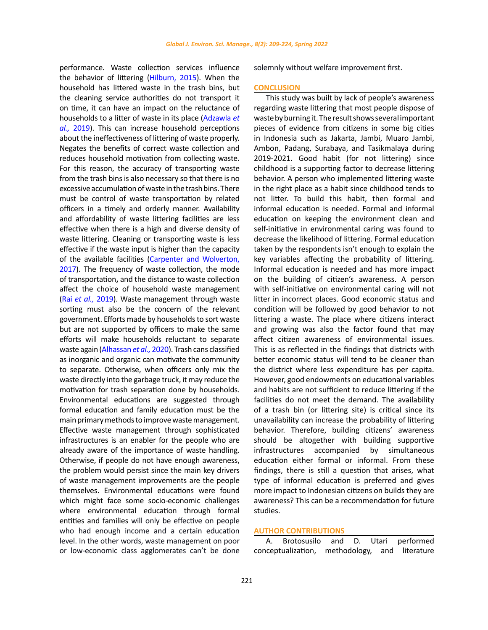performance. Waste collection services influence the behavior of littering [\(Hilburn, 2015\).](#page-14-0) When the household has littered waste in the trash bins, but the cleaning service authorities do not transport it on time, it can have an impact on the reluctance of households to a litter of waste in its place [\(Adzawla](#page-14-0) *et al.,* [2019](#page-14-0)). This can increase household perceptions about the ineffectiveness of littering of waste properly. Negates the benefits of correct waste collection and reduces household motivation from collecting waste. For this reason, the accuracy of transporting waste from the trash bins is also necessary so that there is no excessive accumulation of waste in the trash bins. There must be control of waste transportation by related officers in a timely and orderly manner. Availability and affordability of waste littering facilities are less effective when there is a high and diverse density of waste littering. Cleaning or transporting waste is less effective if the waste input is higher than the capacity of the available facilities [\(Carpenter and Wolverton,](#page-14-0)  [2017](#page-14-0)). The frequency of waste collection, the mode of transportation**,** and the distance to waste collection affect the choice of household waste management (Rai *[et al.,](#page-14-0)* 2019). Waste management through waste sorting must also be the concern of the relevant government. Efforts made by households to sort waste but are not supported by officers to make the same efforts will make households reluctant to separate waste again ([Alhassan](#page-14-0) *et al.,* 2020). Trash cans classified as inorganic and organic can motivate the community to separate. Otherwise, when officers only mix the waste directly into the garbage truck, it may reduce the motivation for trash separation done by households. Environmental educations are suggested through formal education and family education must be the main primary methods to improve waste management. Effective waste management through sophisticated infrastructures is an enabler for the people who are already aware of the importance of waste handling. Otherwise, if people do not have enough awareness, the problem would persist since the main key drivers of waste management improvements are the people themselves. Environmental educations were found which might face some socio-economic challenges where environmental education through formal entities and families will only be effective on people who had enough income and a certain education level. In the other words, waste management on poor or low-economic class agglomerates can't be done

solemnly without welfare improvement first.

# **CONCLUSION**

This study was built by lack of people's awareness regarding waste littering that most people dispose of waste by burning it.The resultshows severalimportant pieces of evidence from citizens in some big cities in Indonesia such as Jakarta, Jambi, Muaro Jambi, Ambon, Padang, Surabaya, and Tasikmalaya during 2019-2021. Good habit (for not littering) since childhood is a supporting factor to decrease littering behavior. A person who implemented littering waste in the right place as a habit since childhood tends to not litter. To build this habit, then formal and informal education is needed. Formal and informal education on keeping the environment clean and self-initiative in environmental caring was found to decrease the likelihood of littering. Formal education taken by the respondents isn't enough to explain the key variables affecting the probability of littering. Informal education is needed and has more impact on the building of citizen's awareness. A person with self-initiative on environmental caring will not litter in incorrect places. Good economic status and condition will be followed by good behavior to not littering a waste. The place where citizens interact and growing was also the factor found that may affect citizen awareness of environmental issues. This is as reflected in the findings that districts with better economic status will tend to be cleaner than the district where less expenditure has per capita. However, good endowments on educational variables and habits are not sufficient to reduce littering if the facilities do not meet the demand. The availability of a trash bin (or littering site) is critical since its unavailability can increase the probability of littering behavior. Therefore, building citizens' awareness should be altogether with building supportive infrastructures accompanied by simultaneous education either formal or informal. From these findings, there is still a question that arises, what type of informal education is preferred and gives more impact to Indonesian citizens on builds they are awareness? This can be a recommendation for future studies.

### **AUTHOR CONTRIBUTIONS**

A. Brotosusilo and D. Utari performed conceptualization, methodology, and literature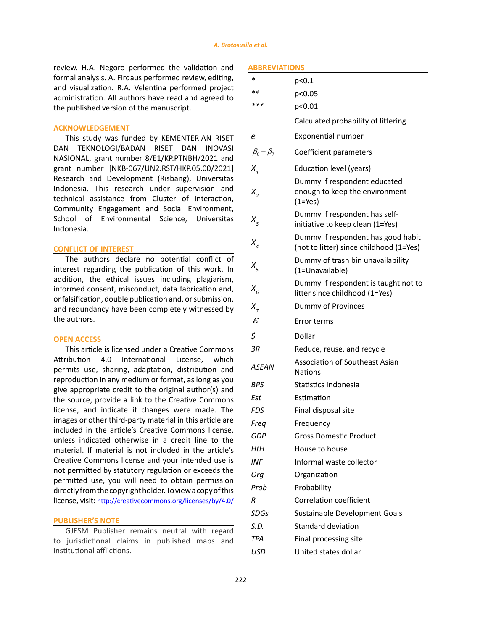review. H.A. Negoro performed the validation and formal analysis. A. Firdaus performed review, editing, and visualization. R.A. Velentina performed project administration. All authors have read and agreed to the published version of the manuscript.

# **ACKNOWLEDGEMENT**

This study was funded by KEMENTERIAN RISET DAN TEKNOLOGI/BADAN RISET DAN INOVASI NASIONAL, grant number 8/E1/KP.PTNBH/2021 and grant number [NKB-067/UN2.RST/HKP.05.00/2021] Research and Development (Risbang), Universitas Indonesia. This research under supervision and technical assistance from Cluster of Interaction, Community Engagement and Social Environment, School of Environmental Science, Universitas Indonesia.

# **CONFLICT OF INTEREST**

The authors declare no potential conflict of interest regarding the publication of this work. In addition, the ethical issues including plagiarism, informed consent, misconduct, data fabrication and, or falsification, double publication and, or submission, and redundancy have been completely witnessed by the authors.

# **OPEN ACCESS**

This article is licensed under a Creative Commons Attribution 4.0 International License, which permits use, sharing, adaptation, distribution and reproduction in any medium or format, as long as you give appropriate credit to the original author(s) and the source, provide a link to the Creative Commons license, and indicate if changes were made. The images or other third-party material in this article are included in the article's Creative Commons license, unless indicated otherwise in a credit line to the material. If material is not included in the article's Creative Commons license and your intended use is not permitted by statutory regulation or exceeds the permitted use, you will need to obtain permission directly from the copyright holder. To view a copy of this license, visit: <http://creativecommons.org/licenses/by/4.0/>

### **PUBLISHER'S NOTE**

GJESM Publisher remains neutral with regard to jurisdictional claims in published maps and institutional afflictions.

# **ABBREVIATIONS**

| ∗                          | p<0.1                                                                         |
|----------------------------|-------------------------------------------------------------------------------|
| $**$                       | p<0.05                                                                        |
| ***                        | p<0.01                                                                        |
|                            | Calculated probability of littering                                           |
| е                          | Exponential number                                                            |
| $\beta_0 - \beta_7$        | Coefficient parameters                                                        |
| $X_{i}$                    | Education level (years)                                                       |
| Х,                         | Dummy if respondent educated<br>enough to keep the environment<br>$(1 = Yes)$ |
| $X_{3}$                    | Dummy if respondent has self-<br>initiative to keep clean (1=Yes)             |
| $X_{\scriptscriptstyle A}$ | Dummy if respondent has good habit<br>(not to litter) since childhood (1=Yes) |
| $X_{\varsigma}$            | Dummy of trash bin unavailability<br>(1=Unavailable)                          |
| $X_{\epsilon}$             | Dummy if respondent is taught not to<br>litter since childhood (1=Yes)        |
| $X_{7}$                    | Dummy of Provinces                                                            |
| $\mathcal E$               | Error terms                                                                   |
| \$                         | Dollar                                                                        |
| 3R                         | Reduce, reuse, and recycle                                                    |
| ASEAN                      | Association of Southeast Asian<br>Nations                                     |
| BPS                        | Statistics Indonesia                                                          |
| Est                        | Estimation                                                                    |
| FDS                        | Final disposal site                                                           |
| Freq                       | Frequency                                                                     |
| GDP                        | <b>Gross Domestic Product</b>                                                 |
| HtH                        | House to house                                                                |
| INF                        | Informal waste collector                                                      |
| Orq                        | Organization                                                                  |
| Prob                       | Probability                                                                   |
| R                          | Correlation coefficient                                                       |
| SDGs                       | Sustainable Development Goals                                                 |
| S.D.                       | Standard deviation                                                            |
| <b>TPA</b>                 | Final processing site                                                         |
| USD                        | United states dollar                                                          |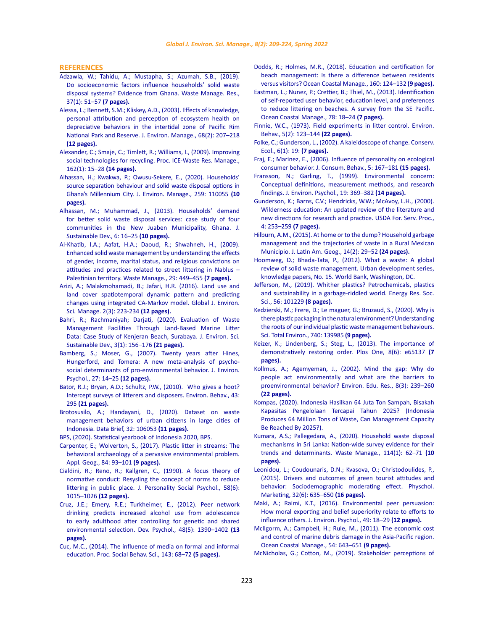#### <span id="page-14-0"></span>**REFERENCES**

- [Adzawla, W.; Tahidu, A.; Mustapha, S.; Azumah, S.B., \(2019\).](https://journals.sagepub.com/doi/full/10.1177/0734242X18817717)  [Do socioeconomic factors influence households' solid waste](https://journals.sagepub.com/doi/full/10.1177/0734242X18817717)  [disposal systems? Evidence from Ghana. Waste Manage. Res.,](https://journals.sagepub.com/doi/full/10.1177/0734242X18817717)  [37\(1\): 51–57](https://journals.sagepub.com/doi/full/10.1177/0734242X18817717) **(7 pages).**
- [Alessa, L.; Bennett, S.M.; Kliskey, A.D., \(2003\). Effects of knowledge,](https://www.sciencedirect.com/science/article/pii/S0301479703000689)  [personal attribution and perception of ecosystem health on](https://www.sciencedirect.com/science/article/pii/S0301479703000689)  [depreciative behaviors in the intertidal zone of Pacific Rim](https://www.sciencedirect.com/science/article/pii/S0301479703000689)  [National Park and Reserve. J. Environ. Manage., 68\(2\): 207–218](https://www.sciencedirect.com/science/article/pii/S0301479703000689)  **[\(12 pages\).](https://www.sciencedirect.com/science/article/pii/S0301479703000689)**
- [Alexander, C.; Smaje, C.; Timlett, R.; Williams, I., \(2009\). Improving](https://www.icevirtuallibrary.com/doi/10.1680/warm.2009.162.1.15)  [social technologies for recycling. Proc. ICE-Waste Res. Manage.,](https://www.icevirtuallibrary.com/doi/10.1680/warm.2009.162.1.15)  [162\(1\): 15–28](https://www.icevirtuallibrary.com/doi/10.1680/warm.2009.162.1.15) **(14 pages).**
- [Alhassan, H.; Kwakwa, P.; Owusu-Sekere, E., \(2020\). Households'](https://www.sciencedirect.com/science/article/pii/S0301479719317736)  [source separation behaviour and solid waste disposal options in](https://www.sciencedirect.com/science/article/pii/S0301479719317736)  [Ghana's Millennium City. J. Environ. Manage., 259: 110055](https://www.sciencedirect.com/science/article/pii/S0301479719317736) **(10 [pages\).](https://www.sciencedirect.com/science/article/pii/S0301479719317736)**
- [Alhassan, M.; Muhammad, J., \(2013\). Households' demand](http://www.ccsenet.org/journal/index.php/jsd/article/view/29592)  [for better solid waste disposal services: case study of four](http://www.ccsenet.org/journal/index.php/jsd/article/view/29592)  [communities in the New Juaben Municipality, Ghana. J.](http://www.ccsenet.org/journal/index.php/jsd/article/view/29592)  [Sustainable Dev., 6: 16–25](http://www.ccsenet.org/journal/index.php/jsd/article/view/29592) **(10 pages).**
- [Al-Khatib, I.A.; Aafat, H.A.; Daoud, R.; Shwahneh, H., \(2009\).](https://pubmed.ncbi.nlm.nih.gov/18397822/)  [Enhanced solid waste management by understanding the effects](https://pubmed.ncbi.nlm.nih.gov/18397822/)  [of gender, income, marital status, and religious convictions on](https://pubmed.ncbi.nlm.nih.gov/18397822/)  [attitudes and practices related to street littering in Nablus –](https://pubmed.ncbi.nlm.nih.gov/18397822/)  [Palestinian territory. Waste Manage., 29: 449–455](https://pubmed.ncbi.nlm.nih.gov/18397822/) **(7 pages).**
- [Azizi, A.; Malakmohamadi, B.; Jafari, H.R. \(2016\). Land use and](https://www.gjesm.net/article_19162.html)  [land cover spatiotemporal dynamic pattern and predicting](https://www.gjesm.net/article_19162.html)  [changes using integrated CA-Markov model. Global J. Environ.](https://www.gjesm.net/article_19162.html)  [Sci. Manage. 2\(3\): 223-234](https://www.gjesm.net/article_19162.html) **(12 pages).**
- [Bahri, R.; Rachmaniyah; Darjati, \(2020\). Evaluation of Waste](https://scholarhub.ui.ac.id/jessd/vol3/iss1/9/)  [Management Facilities Through Land-Based Marine Litter](https://scholarhub.ui.ac.id/jessd/vol3/iss1/9/)  [Data: Case Study of Kenjeran Beach, Surabaya. J. Environ. Sci.](https://scholarhub.ui.ac.id/jessd/vol3/iss1/9/)  [Sustainable Dev., 3\(1\): 156–176](https://scholarhub.ui.ac.id/jessd/vol3/iss1/9/) **(21 pages).**
- [Bamberg, S.; Moser, G., \(2007\). Twenty years after Hines,](https://www.sciencedirect.com/science/article/pii/S0272494406000909)  [Hungerford, and Tomera: A new meta-analysis of psycho](https://www.sciencedirect.com/science/article/pii/S0272494406000909)[social determinants of pro-environmental behavior. J. Environ.](https://www.sciencedirect.com/science/article/pii/S0272494406000909)  [Psychol., 27: 14–25](https://www.sciencedirect.com/science/article/pii/S0272494406000909) **(12 pages).**
- [Bator, R.J.; Bryan, A.D.; Schultz, P.W., \(2010\). Who gives a hoot?](https://journals.sagepub.com/doi/10.1177/0013916509356884)  [Intercept surveys of litterers and disposers. Environ. Behav., 43:](https://journals.sagepub.com/doi/10.1177/0013916509356884)  295 **[\(21 pages\).](https://journals.sagepub.com/doi/10.1177/0013916509356884)**
- [Brotosusilo, A.; Handayani, D., \(2020\). Dataset on waste](https://www.sciencedirect.com/science/article/pii/S2352340920309471)  [management behaviors of urban citizens in large cities of](https://www.sciencedirect.com/science/article/pii/S2352340920309471)  [Indonesia. Data Brief, 32: 106053](https://www.sciencedirect.com/science/article/pii/S2352340920309471) **(11 pages).**
- [BPS, \(2020\). Statistical yearbook of Indonesia 2020, BPS.](https://www.bps.go.id/publication/2020/04/29/e9011b3155d45d70823c141f/statistik-indonesia-2020.html)
- [Carpenter, E.; Wolverton, S., \(2017\). Plastic litter in streams: The](https://www.sciencedirect.com/science/article/pii/S0143622816305549)  [behavioral archaeology of a pervasive environmental problem.](https://www.sciencedirect.com/science/article/pii/S0143622816305549)  [Appl. Geog., 84: 93–101](https://www.sciencedirect.com/science/article/pii/S0143622816305549) **(9 pages).**
- [Cialdini, R.; Reno, R.; Kallgren, C., \(1990\). A focus theory of](https://psycnet.apa.org/record/1990-30919-001)  [normative conduct: Resysling the concept of norms to reduce](https://psycnet.apa.org/record/1990-30919-001)  [littering in public place. J. Personality Social Psychol., 58\(6\):](https://psycnet.apa.org/record/1990-30919-001)  [1015–1026](https://psycnet.apa.org/record/1990-30919-001) **(12 pages).**
- [Cruz, J.E.; Emery, R.E.; Turkheimer, E., \(2012\). Peer network](https://pubmed.ncbi.nlm.nih.gov/22390657/)  [drinking predicts increased alcohol use from adolescence](https://pubmed.ncbi.nlm.nih.gov/22390657/)  [to early adulthood after controlling for genetic and shared](https://pubmed.ncbi.nlm.nih.gov/22390657/)  [environmental selection. Dev. Psychol., 48\(5\): 1390–1402](https://pubmed.ncbi.nlm.nih.gov/22390657/) **(13 [pages\).](https://pubmed.ncbi.nlm.nih.gov/22390657/)**
- [Cuc, M.C., \(2014\). The influence of media on formal and informal](https://www.sciencedirect.com/science/article/pii/S1877042814042876)  [education. Proc. Social Behav. Sci., 143: 68–72](https://www.sciencedirect.com/science/article/pii/S1877042814042876) **(5 pages).**
- [Dodds, R.; Holmes, M.R., \(2018\). Education and certification for](https://www.sciencedirect.com/science/article/pii/S0964569117305379) [beach management: Is there a difference between residents](https://www.sciencedirect.com/science/article/pii/S0964569117305379) [versus visitors? Ocean Coastal Manage., 160: 124–132](https://www.sciencedirect.com/science/article/pii/S0964569117305379) **(9 pages).**
- [Eastman, L.; Nunez, P.; Crettier, B.; Thiel, M., \(2013\). Identification](https://www.sciencedirect.com/science/article/abs/pii/S096456911300046X) [of self-reported user behavior, education level, and preferences](https://www.sciencedirect.com/science/article/abs/pii/S096456911300046X) [to reduce littering on beaches. A survey from the SE Pacific.](https://www.sciencedirect.com/science/article/abs/pii/S096456911300046X) [Ocean Coastal Manage., 78: 18–24](https://www.sciencedirect.com/science/article/abs/pii/S096456911300046X) **(7 pages).**
- [Finnie, W.C., \(1973\). Field experiments in litter control. Environ.](https://journals.sagepub.com/doi/10.1177/001391657300500201) [Behav., 5\(2\): 123–144](https://journals.sagepub.com/doi/10.1177/001391657300500201) **(22 pages).**
- [Folke, C.; Gunderson, L., \(2002\). A kaleidoscope of change. Conserv.](https://www.ecologyandsociety.org/issues/article.php/359) [Ecol., 6\(1\): 19:](https://www.ecologyandsociety.org/issues/article.php/359) **(7 pages).**
- [Fraj, E.; Marinez, E., \(2006\). Influence of personality on ecological](https://onlinelibrary.wiley.com/doi/abs/10.1002/cb.169) [consumer behavior. J. Consum. Behav., 5: 167–181](https://onlinelibrary.wiley.com/doi/abs/10.1002/cb.169) **(15 pages).**
- [Fransson, N.; Garling, T., \(1999\). Environmental concern:](https://www.sciencedirect.com/science/article/pii/S027249449990141X) [Conceptual definitions, measurement methods, and research](https://www.sciencedirect.com/science/article/pii/S027249449990141X) [findings. J. Environ. Psychol., 19: 369–382](https://www.sciencedirect.com/science/article/pii/S027249449990141X) **(14 pages).**
- [Gunderson, K.; Barns, C.V.; Hendricks, W.W.; McAvoy, L.H., \(2000\).](https://www.fs.usda.gov/treesearch/pubs/22034) [Wilderness education: An updated review of the literature and](https://www.fs.usda.gov/treesearch/pubs/22034) [new directions for research and practice. USDA For. Serv. Proc.,](https://www.fs.usda.gov/treesearch/pubs/22034) [4: 253–259](https://www.fs.usda.gov/treesearch/pubs/22034) **(7 pages).**
- [Hilburn, A.M., \(2015\). At home or to the dump? Household garbage](https://www.jstor.org/stable/43964612) [management and the trajectories of waste in a Rural Mexican](https://www.jstor.org/stable/43964612) [Municipio. J. Latin Am. Geog., 14\(2\): 29–52](https://www.jstor.org/stable/43964612) **(24 pages).**
- [Hoomweg, D.; Bhada-Tata, P., \(2012\). What a waste: A global](https://openknowledge.worldbank.org/handle/10986/17388) [review of solid waste management. Urban development series,](https://openknowledge.worldbank.org/handle/10986/17388) [knowledge papers, No. 15. World Bank, Washington, DC.](https://openknowledge.worldbank.org/handle/10986/17388)
- [Jefferson, M., \(2019\). Whither plastics? Petrochemicals, plastics](https://www.sciencedirect.com/science/article/pii/S2214629619303172) [and sustainability in a garbage-riddled world. Energy Res. Soc.](https://www.sciencedirect.com/science/article/pii/S2214629619303172) [Sci., 56: 101229](https://www.sciencedirect.com/science/article/pii/S2214629619303172) **(8 pages).**
- [Kedzierski, M.; Frere, D.; Le maguer, G.; Bruzaud, S., \(2020\). Why is](https://www.sciencedirect.com/science/article/pii/S0048969720335051) [there plastic packaging in the natural environment? Understanding](https://www.sciencedirect.com/science/article/pii/S0048969720335051) [the roots of our individual plastic waste management behaviours.](https://www.sciencedirect.com/science/article/pii/S0048969720335051) [Sci. Total Environ., 740: 139985](https://www.sciencedirect.com/science/article/pii/S0048969720335051) **(9 pages).**
- [Keizer, K.; Lindenberg, S.; Steg, L., \(2013\). The importance of](https://www.ncbi.nlm.nih.gov/pmc/articles/PMC3673976/) [demonstratively restoring order. Plos One, 8\(6\): e65137](https://www.ncbi.nlm.nih.gov/pmc/articles/PMC3673976/) **(7 [pages\).](https://www.ncbi.nlm.nih.gov/pmc/articles/PMC3673976/)**
- [Kollmus, A.; Agemyeman, J., \(2002\). Mind the gap: Why do](https://www.tandfonline.com/doi/abs/10.1080/13504620220145401) [people act environmentally and what are the barriers to](https://www.tandfonline.com/doi/abs/10.1080/13504620220145401) [proenvironmental behavior? Environ. Edu. Res., 8\(3\): 239–260](https://www.tandfonline.com/doi/abs/10.1080/13504620220145401) **[\(22 pages\).](https://www.tandfonline.com/doi/abs/10.1080/13504620220145401)**
- [Kompas, \(2020\). Indonesia Hasilkan 64 Juta Ton Sampah, Bisakah](https://www.kompas.com/sains/read/2020/12/18/070200023/indonesia-hasilkan-64-juta-ton-sampah-bisakah-kapasitas-pengelolaan?page=all) [Kapasitas Pengelolaan Tercapai Tahun 2025? \(Indonesia](https://www.kompas.com/sains/read/2020/12/18/070200023/indonesia-hasilkan-64-juta-ton-sampah-bisakah-kapasitas-pengelolaan?page=all) [Produces 64 Million Tons of Waste, Can Management Capacity](https://www.kompas.com/sains/read/2020/12/18/070200023/indonesia-hasilkan-64-juta-ton-sampah-bisakah-kapasitas-pengelolaan?page=all) [Be Reached By 2025?\).](https://www.kompas.com/sains/read/2020/12/18/070200023/indonesia-hasilkan-64-juta-ton-sampah-bisakah-kapasitas-pengelolaan?page=all)
- [Kumara, A.S.; Pallegedara, A., \(2020\). Household waste disposal](https://www.sciencedirect.com/science/article/pii/S0956053X20303378) [mechanisms in Sri Lanka: Nation-wide survey evidence for their](https://www.sciencedirect.com/science/article/pii/S0956053X20303378) [trends and determinants. Waste Manage., 114\(1\): 62–71](https://www.sciencedirect.com/science/article/pii/S0956053X20303378) **(10 [pages\).](https://www.sciencedirect.com/science/article/pii/S0956053X20303378)**
- [Leonidou, L.; Coudounaris, D.N.; Kvasova, O.; Christodoulides, P.,](https://onlinelibrary.wiley.com/doi/abs/10.1002/mar.20806) [\(2015\). Drivers and outcomes of green tourist attitudes and](https://onlinelibrary.wiley.com/doi/abs/10.1002/mar.20806) [behavior: Sociodemographic moderating effect. Physchol.](https://onlinelibrary.wiley.com/doi/abs/10.1002/mar.20806) [Marketing, 32\(6\): 635–650](https://onlinelibrary.wiley.com/doi/abs/10.1002/mar.20806) **(16 pages).**
- [Maki, A.; Raimi, K.T., \(2016\). Environmental peer persuasion:](https://www.sciencedirect.com/science/article/pii/S0272494416301062) [How moral exporting and belief superiority relate to efforts to](https://www.sciencedirect.com/science/article/pii/S0272494416301062) [influence others. J. Environ. Psychol., 49: 18–29](https://www.sciencedirect.com/science/article/pii/S0272494416301062) **(12 pages).**
- [Mcllgorm, A.; Campbell, H.; Rule, M., \(2011\). The economic cost](https://www.sciencedirect.com/science/article/pii/S0964569111000688) [and control of marine debris damage in the Asia-Pacific region.](https://www.sciencedirect.com/science/article/pii/S0964569111000688) [Ocean Coastal Manage., 54: 643–651](https://www.sciencedirect.com/science/article/pii/S0964569111000688) **(9 pages).**
- [McNicholas, G.; Cotton, M., \(2019\). Stakeholder perceptions of](https://www.sciencedirect.com/science/article/pii/S0921800918315088)